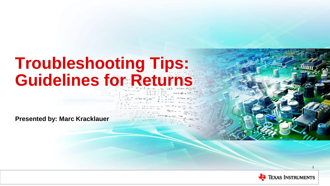# **Troubleshooting Tips: Guidelines for Returns**

**Presented by: Marc Kracklauer**



1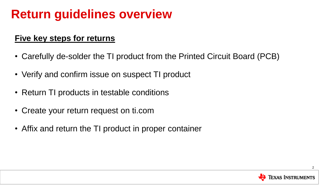## **Return guidelines overview**

#### **Five key steps for returns**

- Carefully de-solder the TI product from the Printed Circuit Board (PCB)
- Verify and confirm issue on suspect TI product
- Return TI products in testable conditions
- Create your return request on ti.com
- Affix and return the TI product in proper container

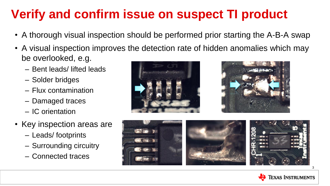## **Verify and confirm issue on suspect TI product**

- A thorough visual inspection should be performed prior starting the A-B-A swap
- A visual inspection improves the detection rate of hidden anomalies which may be overlooked, e.g.
	- Bent leads/ lifted leads
	- Solder bridges
	- Flux contamination
	- Damaged traces
	- IC orientation
- Key inspection areas are
	- Leads/ footprints
	- Surrounding circuitry
	- Connected traces







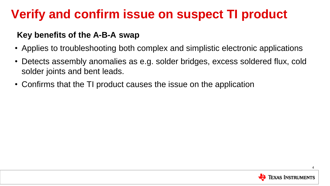### **Verify and confirm issue on suspect TI product**

#### **Key benefits of the A-B-A swap**

- Applies to troubleshooting both complex and simplistic electronic applications
- Detects assembly anomalies as e.g. solder bridges, excess soldered flux, cold solder joints and bent leads.
- Confirms that the TI product causes the issue on the application

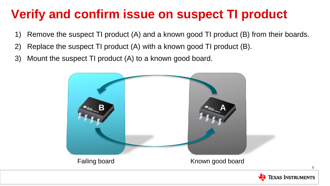### **Verify and confirm issue on suspect TI product**

- 1) Remove the suspect TI product (A) and a known good TI product (B) from their boards.
- 2) Replace the suspect TI product (A) with a known good TI product (B).
- 3) Mount the suspect TI product (A) to a known good board.





5